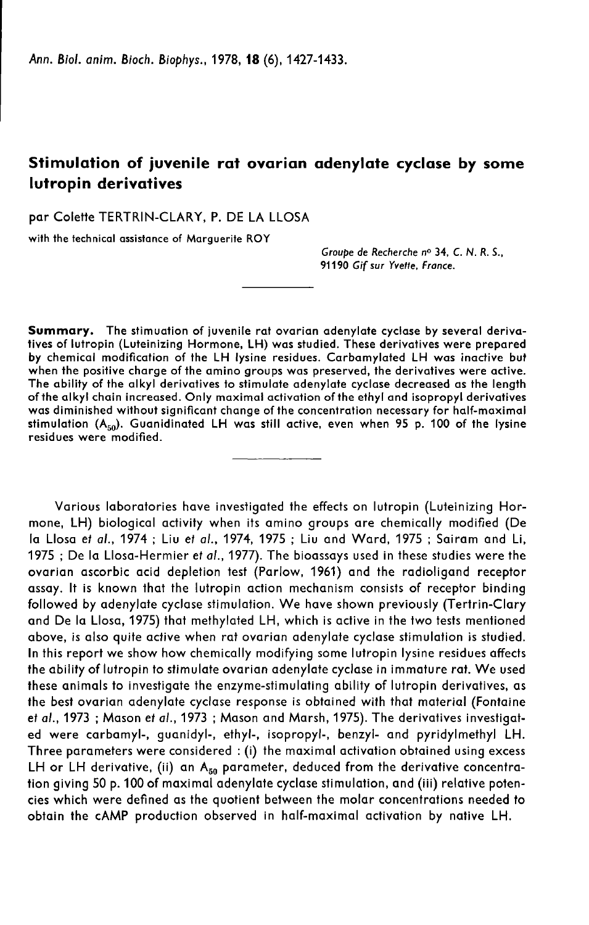# Stimulation of juvenile rat ovarian adenylate cyclase by some lutropin derivatives

par Colette TERTRIN-CLARY, P. DE LA LLOSA

with the technical assistance of Marguerite ROY

Groupe de Recherche no 34, C. N. R. S., 91190 Gif sur Yvette, France.

Summary. The stimuation of juvenile rat ovarian adenylate cyclase by several derivatives of lutropin (Luteinizing Hormone, LH) was studied. These derivatives were prepared by chemical modification of the LH lysine residues. Carbamylated LH was inactive but when the positive charge of the amino groups was preserved, the derivatives were active. The ability of the alkyl derivatives to stimulate adenylate cyclase decreased as the length of the alkyl chain increased. Only maximal activation of the ethyl and isopropyl derivatives was diminished without significant change of the concentration necessary for half-maximal stimulation  $(A_{50})$ . Guanidinated LH was still active, even when 95 p. 100 of the lysine residues were modified.

Various laboratories have investigated the effects on lutropin (Luteinizing Hormone, LH) biological activity when its amino groups are chemically modified (De la Llosa et al., 1974 ; Liu et al., 1974, 1975 ; Liu and Ward, 1975 ; Sairam and Li, 1975 ; De la Llosa-Hermier et al., 1977). The bioassays used in these studies were the ovarian ascorbic acid depletion test (Parlow, 1961) and the radioligand receptor assay. It is known that the lutropin action mechanism consists of receptor binding followed by adenylate cyclase stimulation. We have shown previously (Tertrin-Clary and De la Llosa, 1975) that methylated LH, which is active in the two tests mentioned above, is also quite active when rat ovarian adenylate cyclase stimulation is studied. In this report we show how chemically modifying some lutropin lysine residues affects the ability of lutropin to stimulate ovarian adenylate cyclase in immature rat. We used these animals to investigate the enzyme-stimulating ability of lutropin derivatives, as the best ovarian adenylate cyclase response is obtained with that material (Fontaine et al., 1973 ; Mason et al., 1973 ; Mason and Marsh, 1975). The derivatives investigated were carbamyl-, guanidyl-, ethyl-, isopropyl-, benzyl- and pyridylmethyl LH. Three parameters were considered : (i) the maximal activation obtained using excess LH or LH derivative, (ii) an  $A_{50}$  parameter, deduced from the derivative concentration giving 50 p. 100 of maximal adenylate cyclase stimulation, and (iii) relative potencies which were defined as the quotient between the molar concentrations needed to obtain the cAMP production observed in half-maximal activation by native LH.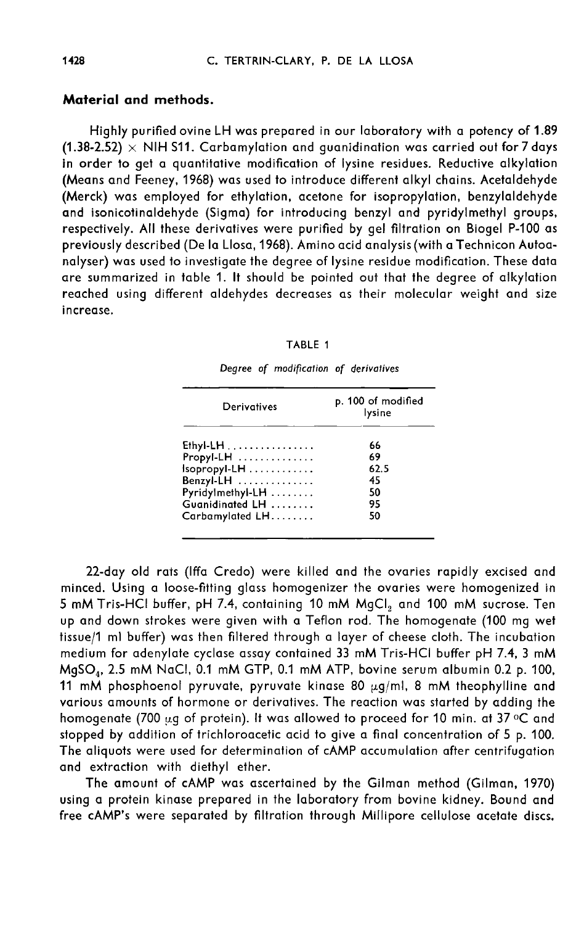## Material and methods.

Highly purified ovine LH was prepared in our laboratory with a potency of 1.89 (1.38-2.52)  $\times$  NIH S11. Carbamylation and guanidination was carried out for 7 days in order to get a quantitative modification of lysine residues. Reductive alkylation (Means and Feeney, 1968) was used to introduce different alkyl chains. Acetaldehyde (Merck) was employed for ethylation, acetone for isopropylation, benzylaldehyde and isonicotinaldehyde (Sigma) for introducing benzyl and pyridylmethyl groups, respectively. All these derivatives were purified by gel filtration on Biogel P-100 as previously described (De la Llosa, 1968). Amino acid analysis (with a Technicon Autoanalyser) was used to investigate the degree of lysine residue modification. These data are summarized in table 1. It should be pointed out that the degree of alkylation reached using different aldehydes decreases as their molecular weight and size increase.

|  | TABLE |  |
|--|-------|--|
|--|-------|--|

| Derivatives      | p. 100 of modified<br>lysine |  |  |
|------------------|------------------------------|--|--|
| $Ethyl-LH$       | 66                           |  |  |
| Propyl-LH        | 69                           |  |  |
| Isopropyl-LH     | 62.5                         |  |  |
| Benzyl-LH        | 45                           |  |  |
| Pyridylmethyl-LH | 50                           |  |  |
| Guanidinated LH  | 95                           |  |  |
| Carbamylated LH  | 50                           |  |  |

Degree of modification of derivatives

22-day old rats (Iffa Credo) were killed and the ovaries rapidly excised and minced. Using a loose-fitting glass homogenizer the ovaries were homogenized in 5 mM Tris-HCI buffer, pH 7.4, containing 10 mM MgCl<sub>2</sub> and 100 mM sucrose. Ten up and down strokes were given with a Teflon rod. The homogenate (100 mg wet tissue/1 ml buffer) was then filtered through a layer of cheese cloth. The incubation medium for adenylate cyclase assay contained 33 mM Tris-HCI buffer pH 7.4, 3 mM<br>MgSO<sub>4</sub>, 2.5 mM NaCl, 0.1 mM GTP, 0.1 mM ATP, bovine serum albumin 0.2 p. 100, up and down strokes were given will a Tellon rod. The homogendie (too mg welf<br>tissue/1 ml buffer) was then filtered through a layer of cheese cloth. The incubation<br>medium for adenylate cyclase assay contained 33 mM Tris-HC various amounts of hormone or derivatives. The reaction was started by adding the homogenate (700 ug of protein). It was allowed to proceed for 10 min. at 37 °C and stopped by addition of trichloroacetic acid to give a final concentration of 5 p. 100. The aliquots were used for determination of cAMP accumulation after centrifugation and extraction with diethyl ether.

The amount of cAMP was ascertained by the Gilman method (Gilman, 1970) using a protein kinase prepared in the laboratory from bovine kidney. Bound and free cAMP's were separated by filtration through Millipore cellulose acetate discs.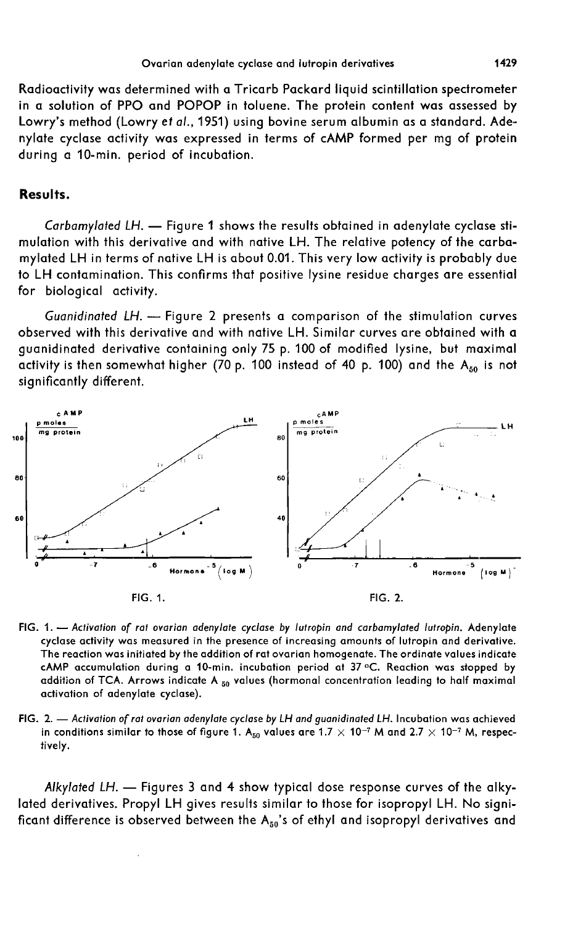Radioactivity was determined with a Tricarb Packard liquid scintillation spectrometer in a solution of PPO and POPOP in toluene. The protein content was assessed by Lowry's method (Lowry et al., 1951) using bovine serum albumin as a standard. Adenylate cyclase activity was expressed in terms of cAMP formed per mg of protein during a 10-min. period of incubation.

## Results.

Carbamylated LH. - Figure 1 shows the results obtained in adenylate cyclase stimulation with this derivative and with native LH. The relative potency of the carbamylated LH in terms of native LH is about 0.01. This very low activity is probably due to LH contamination. This confirms that positive lysine residue charges are essential for biological activity.

Guanidinated LH. - Figure 2 presents a comparison of the stimulation curves observed with this derivative and with native LH. Similar curves are obtained with a guanidinated derivative containing only 75 p. 100 of modified lysine, but maximal activity is then somewhat higher (70 p. 100 instead of 40 p. 100) and the  $A_{50}$  is not significantly different.



- FIG. 1. Activation of rat ovarian adenylate cyclase by lutropin and carbamylated lutropin. Adenylate cyclase activity was measured in the presence of increasing amounts of lutropin and derivative. The reaction was initiated by the addition of rat ovarian homogenate. The ordinate values indicate cAMP accumulation during a 10-min. incubation period at 37 °C. Reaction was stopped by addition of TCA. Arrows indicate A 50 values (hormonal concentration leading to half maximal activation of adenylate cyclase).
- FIG. 2. Activation of rat ovarian adenylate cyclase by LH and guanidinated LH. Incubation was achieved in conditions similar to those of figure 1. A<sub>50</sub> values are 1.7  $\times$  10<sup>-7</sup> M and 2.7  $\times$  10<sup>-7</sup> M, respectively.

Alkylated LH. - Figures 3 and 4 show typical dose response curves of the alkylated derivatives. Propyl LH gives results similar to those for isopropyl LH. No significant difference is observed between the  $A_{50}$ 's of ethyl and isopropyl derivatives and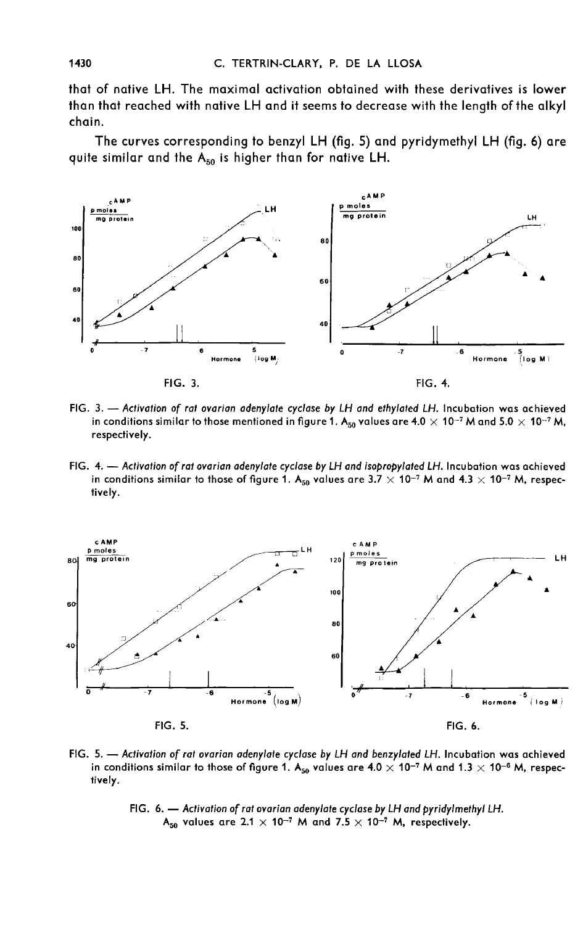that of native LH. The maximal activation obtained with these derivatives is lower than that reached with native LH and it seems to decrease with the length of the alkyl chain.

The curves corresponding to benzyl LH (fig. 5) and pyridymethyl LH (fig. 6) are quite similar and the  $A_{50}$  is higher than for native LH.



- FIG. 3. Activation of rat ovarian adenylate cyclase by LH and ethylated LH. Incubation was achieved in conditions similar to those mentioned in figure 1. A<sub>so</sub> values are 4.0  $\times$  10<sup>-7</sup> M and 5.0  $\times$  10<sup>-7</sup> M, respectively.
- FIG. 4. Activation of rat ovarian adenylate cyclase by LH and isopropylated LH. Incubation was achieved in conditions similar to those of figure 1. A<sub>50</sub> values are 3.7  $\times$  10<sup>-7</sup> M and 4.3  $\times$  10<sup>-7</sup> M, respectively.



- FIG. 5. Activation of rat ovarian adenylate cyclase by LH and benzylated LH. Incubation was achieved in conditions similar to those of figure 1. A<sub>50</sub> values are 4.0  $\times$  10<sup>-7</sup> M and 1.3  $\times$  10<sup>-6</sup> M, respectively.
	- FIG. 6. Activation of rat ovarian adenylate cyclase by LH and pyridylmethyl LH. A<sub>50</sub> values are 2.1  $\times$  10<sup>-7</sup> M and 7.5  $\times$  10<sup>-7</sup> M, respectively.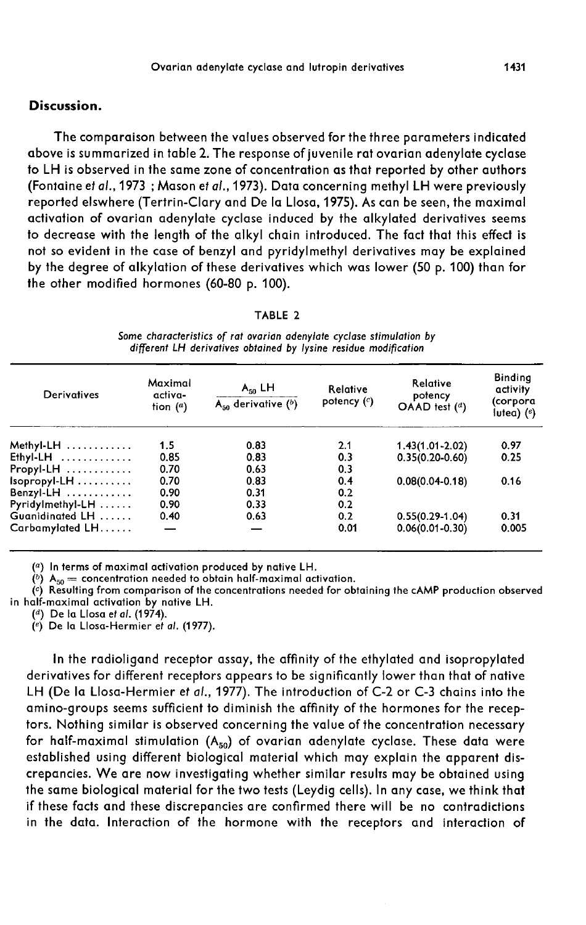## Discussion.

The comparaison between the values observed for the three parameters indicated above is summarized in table 2. The response of juvenile rat ovarian adenylate cyclase to LH is observed in the same zone of concentration as that reported by other authors (Fontaine et al., 1973 ; Mason et al.,1973). Data concerning methyl LH were previously reported elswhere (Tertrin-Clary and De la Llosa, 1975). As can be seen, the maximal activation of ovarian adenylate cyclase induced by the alkylated derivatives seems to decrease with the length of the alkyl chain introduced. The fact that this effect is not so evident in the case of benzyl and pyridylmethyl derivatives may be explained by the degree of alkylation of these derivatives which was lower (50 p. 100) than for the other modified hormones (60-80 p. 100).

#### TABLE 2

Some characteristics of rat ovarian adenviate cyclase stimulation by different LH derivatives obtained by lysine residue modification

| Derivatives        | Maximal<br>activa-<br>tion $(a)$ | $A_{50}$ LH<br>$A_{50}$ derivative $(b)$ | Relative<br>potency $(c)$ | Relative<br>potency<br>$O$ AAD test $(d)$ | <b>Binding</b><br>activity<br>(corpora<br>lutea) $(e)$ |
|--------------------|----------------------------------|------------------------------------------|---------------------------|-------------------------------------------|--------------------------------------------------------|
| Methyl-LH $\ldots$ | 1.5                              | 0.83                                     | 2.1                       | $1.43(1.01 - 2.02)$                       | 0.97                                                   |
| $Ethyl-LH$         | 0.85                             | 0.83                                     | 0.3                       | $0.35(0.20-0.60)$                         | 0.25                                                   |
| $Propyl-LH$        | 0.70                             | 0.63                                     | 0.3                       |                                           |                                                        |
| $Isopropyl-LH$     | 0.70                             | 0.83                                     | 0.4                       | $0.08(0.04-0.18)$                         | 0.16                                                   |
| Benzyl-LH          | 0.90                             | 0.31                                     | 0.2                       |                                           |                                                        |
| $Pyridylmethyl-LH$ | 0.90                             | 0.33                                     | 0.2                       |                                           |                                                        |
| Guanidinated LH    | 0.40                             | 0.63                                     | 0.2                       | $0.55(0.29-1.04)$                         | 0.31                                                   |
| Carbamylated LH    | $\overline{\phantom{0}}$         |                                          | 0.01                      | $0.06(0.01 - 0.30)$                       | 0.005                                                  |

(a) In terms of maximal activation produced by native LH.

 $(^b)$  A<sub>50</sub> = concentration needed to obtain half-maximal activation.

(c) Resulting from comparison of the concentrations needed for obtaining the cAMP production observed in half-maximal activation by native LH.

 $(4)$  De la Llosa et al. (1974).

 $\left(\begin{matrix}e\\end{matrix}\right)$  De la Llosa-Hermier et al. (1977).

In the radioligand receptor assay, the affinity of the ethylated and isopropylated derivatives for different receptors appears to be significantly lower than that of native LH (De la Llosa-Hermier et al., 1977). The introduction of C-2 or C-3 chains into the amino-groups seems sufficient to diminish the affinity of the hormones for the receptors. Nothing similar is observed concerning the value of the concentration necessary<br>for half-maximal stimulation  $(A_{50})$  of ovarian adenylate cyclase. These data were<br>established using different biological material whic established using different biological material which may explain the apparent discrepancies. We are now investigating whether similar results may be obtained using the same biological material for the two tests (Leydig cells). In any case, we think that if these facts and these discrepancies are confirmed there will be no contradictions in the data. Interaction of the hormone with the receptors and interaction of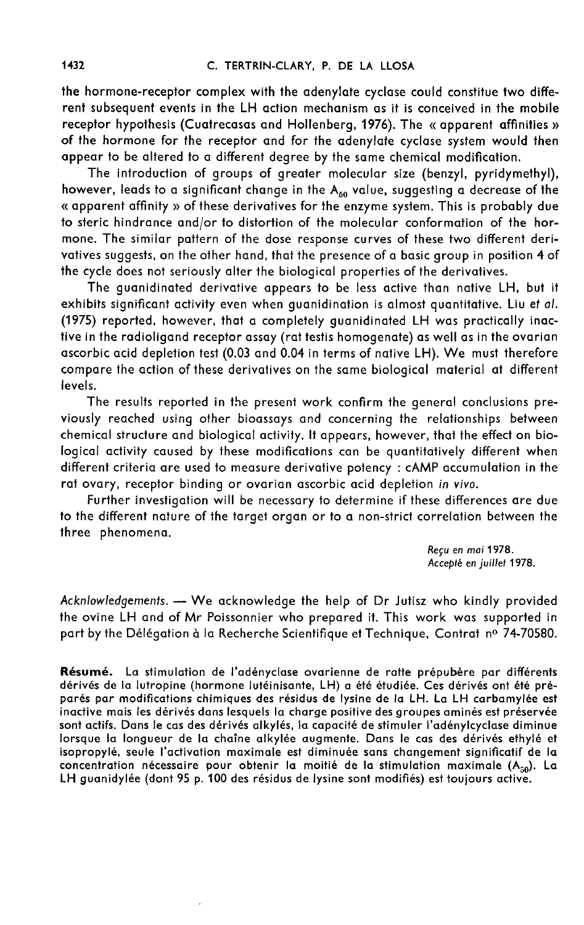the hormone-receptor complex with the adenylate cyclase could constitue two different subsequent events in the LH action mechanism as it is conceived in the mobile receptor hypothesis (Cuatrecasas and Hollenberg, 1976). The « apparent affinities » of the hormone for the receptor and for the adenylate cyclase system would then appear to be altered to a different degree by the same chemical modification.

The introduction of groups of greater molecular size (benzyl, pyridymethyl), however, leads to a significant change in the  $A_{50}$  value, suggesting a decrease of the « apparent affinity » of these derivatives for the enzyme system. This is probably due to steric hindrance and/or to distortion of the molecular conformation of the hormone. The similar pattern of the dose response curves of these two different derivatives suggests, on the other hand, that the presence of a basic group in position 4 of the cycle does not seriously alter the biological properties of the derivatives.

The guanidinated derivative appears to be less active than native LH, but it exhibits significant activity even when guanidination is almost quantitative. Liu et al. (1975) reported, however, that a completely guanidinated LH was practically inactive in the radioligand receptor assay (rat testis homogenate) as well as in the ovarian ascorbic acid depletion test (0.03 and 0.04 in terms of native LH). We must therefore compare the action of these derivatives on the same biological material at different levels.

The results reported in the present work confirm the general conclusions previously reached using other bioassays and concerning the relationships between chemical structure and biological activity. It appears, however, that the effect on biological activity caused by these modifications can be quantitatively different when different criteria are used to measure derivative potency : cAMP accumulation in the rat ovary, receptor binding or ovarian ascorbic acid depletion in vivo.

Further investigation will be necessary to determine if these differences are due to the different nature of the target organ or to a non-strict correlation between the three phenomena.

> Reçu en mai 1978. Accepté en juillet 1978.

Acknlowledgements. - We acknowledge the help of Dr Jutisz who kindly provided the ovine LH and of Mr Poissonnier who prepared it. This work was supported in part by the Délégation à la Recherche Scientifique et Technique, Contrat nº 74-70580.

Résumé. La stimulation de l'adényclase ovarienne de ratte prépubère par différents dérivés de la lutropine (hormone lutéinisante, LH) a été étudiée. Ces dérivés ont été préparés par modifications chimiques des résidus de lysine de la LH. La LH carbamylée est inactive mais les dérivés dans lesquels la charge positive des groupes aminés est préservée sont actifs. Dans le cas des dérivés alkylés, la capacité de stimuler l'adénylcyclase diminue lorsque la longueur de la chaîne alkylée augmente. Dans le cas des dérivés ethylé et isopropylé, seule l'activation maximale est diminuée sans changement significatif de la concentration nécessaire pour obtenir la moitié de la stimulation maximale  $(A_{50})$ . La LH guanidylée (dont 95 p. 100 des résidus de lysine sont modifiés) est toujours active.